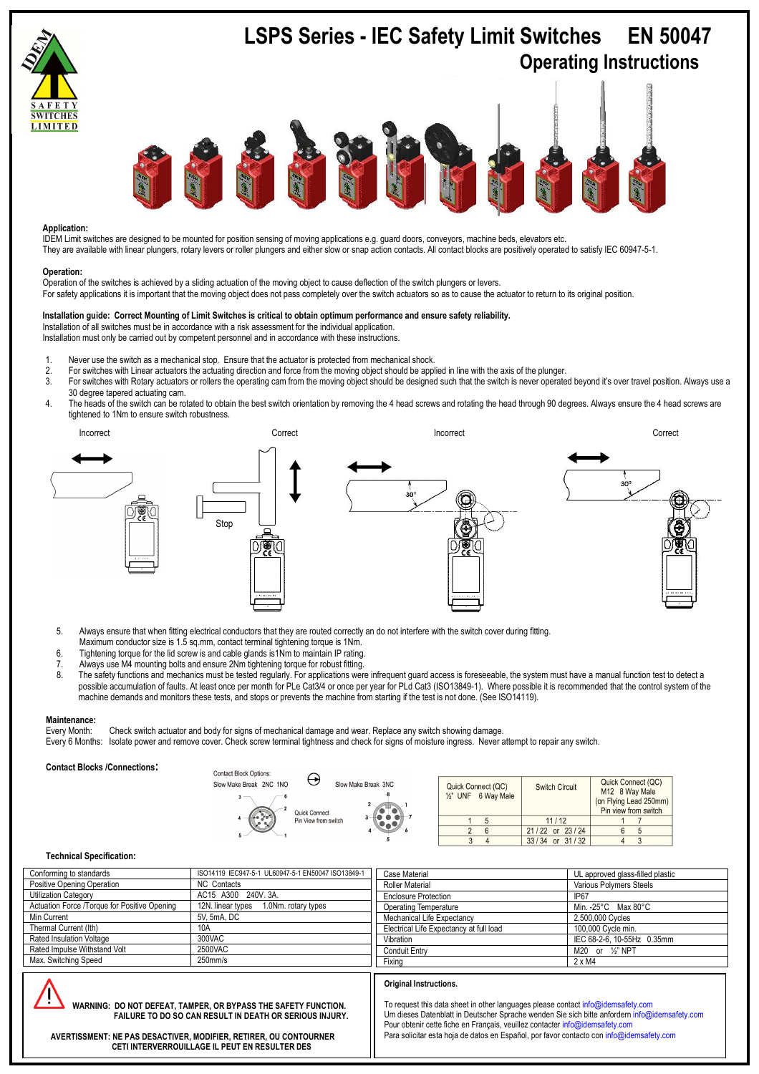

# **Application:**

IDEM Limit switches are designed to be mounted for position sensing of moving applications e.g. guard doors, conveyors, machine beds, elevators etc. They are available with linear plungers, rotary levers or roller plungers and either slow or snap action contacts. All contact blocks are positively operated to satisfy IEC 60947-5-1.

# **Operation:**

 For safety applications it is important that the moving object does not pass completely over the switch actuators so as to cause the actuator to return to its original position. Operation of the switches is achieved by a sliding actuation of the moving object to cause deflection of the switch plungers or levers.

### **Installation guide: Correct Mounting of Limit Switches is critical to obtain optimum performance and ensure safety reliability.**

Installation of all switches must be in accordance with a risk assessment for the individual application.

Installation must only be carried out by competent personnel and in accordance with these instructions.

- 1. Never use the switch as a mechanical stop. Ensure that the actuator is protected from mechanical shock.<br>2. Eor switches with Linear actuators the actuating direction and force from the moving object should be anni
	-
- 2. For switches with Linear actuators the actuating direction and force from the moving object should be applied in line with the axis of the plunger. For switches with Rotary actuators or rollers the operating cam from the moving object should be designed such that the switch is never operated beyond it's over travel position. Always use a 30 degree tapered actuating cam.
- 4. The heads of the switch can be rotated to obtain the best switch orientation by removing the 4 head screws and rotating the head through 90 degrees. Always ensure the 4 head screws are tightened to 1Nm to ensure switch robustness.



- 5. Always ensure that when fitting electrical conductors that they are routed correctly an do not interfere with the switch cover during fitting. Maximum conductor size is 1.5 sq.mm, contact terminal tightening torque is 1Nm.
- 6. Tightening torque for the lid screw is and cable glands is1Nm to maintain IP rating.
- 
- 7. Always use M4 mounting bolts and ensure 2Nm tightening torque for robust fitting. The safety functions and mechanics must be tested regularly. For applications were infrequent guard access is foreseeable, the system must have a manual function test to detect a possible accumulation of faults. At least once per month for PLe Cat3/4 or once per year for PLd Cat3 (ISO13849-1). Where possible it is recommended that the control system of the machine demands and monitors these tests, and stops or prevents the machine from starting if the test is not done. (See ISO14119).

**Maintenance:**<br>Every Month: Every Month: Check switch actuator and body for signs of mechanical damage and wear. Replace any switch showing damage.<br>Every 6 Months: Isolate power and remove cover. Check screw terminal tightness and check for signs of Isolate power and remove cover. Check screw terminal tightness and check for signs of moisture ingress. Never attempt to repair any switch.

**Contact Blocks /Connections:** 



| Quick Connect (QC)<br>1/2" UNF 6 Way Male | <b>Switch Circuit</b> | Quick Connect (QC)<br>M12 8 Way Male<br>(on Flying Lead 250mm<br>Pin view from switch |
|-------------------------------------------|-----------------------|---------------------------------------------------------------------------------------|
|                                           | 11/12                 |                                                                                       |
|                                           | 21/22 or 23/24        |                                                                                       |
|                                           | $33/34$ or $31/32$    |                                                                                       |

# **Technical Specification:**

| Conforming to standards                      | ISO14119 IEC947-5-1 UL60947-5-1 EN50047 ISO13849-1 | Case Material                           | UL approved glass-filled plastic          |
|----------------------------------------------|----------------------------------------------------|-----------------------------------------|-------------------------------------------|
| Positive Opening Operation                   | <b>NC</b> Contacts                                 | <b>Roller Material</b>                  | Various Polymers Steels                   |
| <b>Utilization Category</b>                  | AC15 A300 240V. 3A.                                | <b>Enclosure Protection</b>             | <b>IP67</b>                               |
| Actuation Force /Torque for Positive Opening | 12N. linear types<br>1.0Nm. rotary types           | <b>Operating Temperature</b>            | Min. - $25^{\circ}$ C Max 80 $^{\circ}$ C |
| Min Current                                  | 5V. 5mA. DC                                        | Mechanical Life Expectancy              | 2,500,000 Cycles                          |
| Thermal Current (Ith)                        | 10A                                                | Electrical Life Expectancy at full load | 100,000 Cycle min.                        |
| Rated Insulation Voltage                     | 300VAC                                             | Vibration                               | IEC 68-2-6, 10-55Hz 0.35mm                |
| Rated Impulse Withstand Volt                 | 2500VAC                                            | Conduit Entry                           | M20 or 1/2" NPT                           |
| Max. Switching Speed                         | $250$ mm/s                                         | Fixina                                  | $2 \times M4$                             |
|                                              |                                                    |                                         |                                           |
|                                              |                                                    | Original Instructions.                  |                                           |
|                                              |                                                    |                                         |                                           |

 **WARNING: DO NOT DEFEAT, TAMPER, OR BYPASS THE SAFETY FUNCTION. FAILURE TO DO SO CAN RESULT IN DEATH OR SERIOUS INJURY.** 

To request this data sheet in other languages please contact info@idemsafety.com Um dieses Datenblatt in Deutscher Sprache wenden Sie sich bitte anfordern info@idemsafety.com Pour obtenir cette fiche en Français, veuillez contacter info@idemsafety.com Para solicitar esta hoja de datos en Español, por favor contacto con info@idemsafety.com

 **AVERTISSMENT: NE PAS DESACTIVER, MODIFIER, RETIRER, OU CONTOURNER CETI INTERVERROUILLAGE IL PEUT EN RESULTER DES** 

 **BLESSURES GRAVES DU PERSONNEL UTILISATEUR.**